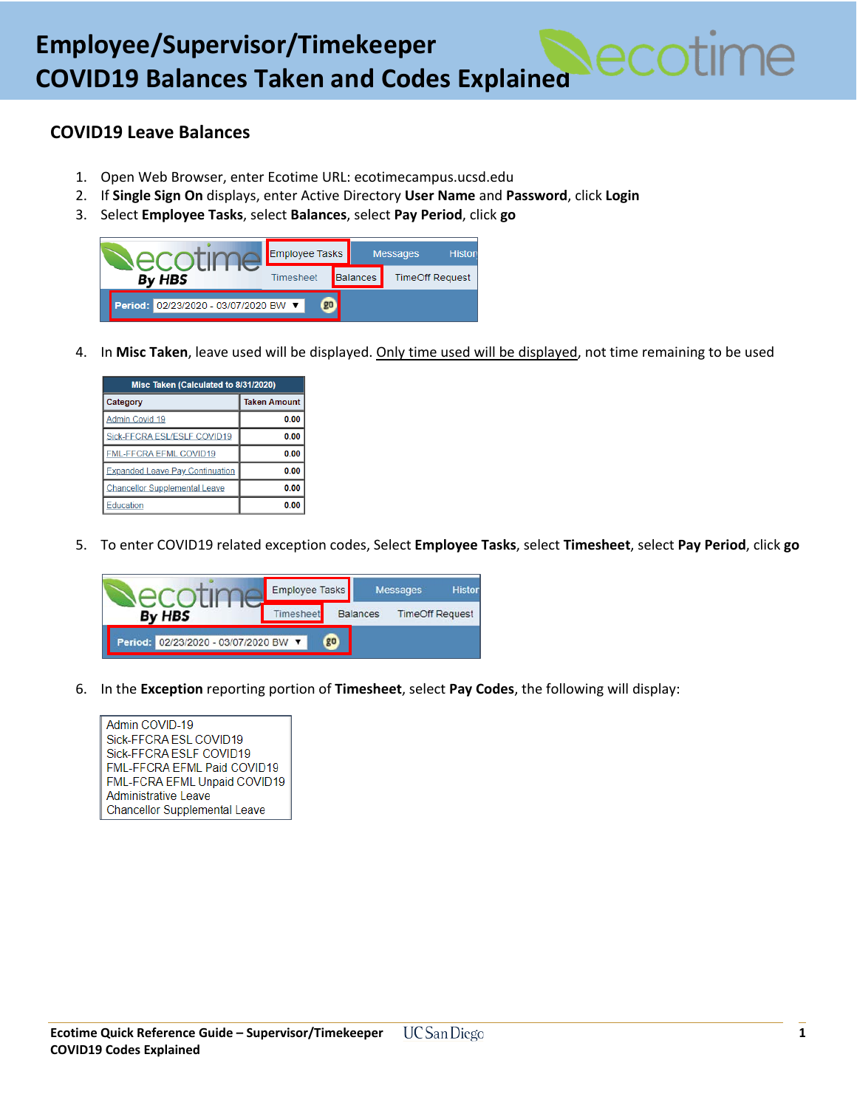## **COVID19 Leave Balances**

- 1. Open Web Browser, enter Ecotime URL: ecotimecampus.ucsd.edu
- 2. If **Single Sign On** displays, enter Active Directory **User Name** and **Password**, click **Login**
- 3. Select **Employee Tasks**, select **Balances**, select **Pay Period**, click **go**



4. In **Misc Taken**, leave used will be displayed. Only time used will be displayed, not time remaining to be used

| Misc Taken (Calculated to 8/31/2020)   |                     |  |  |  |
|----------------------------------------|---------------------|--|--|--|
| Category                               | <b>Taken Amount</b> |  |  |  |
| Admin Covid 19                         | 0.00                |  |  |  |
| Sick-FFCRA ESL/ESLF COVID19            | 0.00                |  |  |  |
| FML-FFCRA EFML COVID19                 | 0.00                |  |  |  |
| <b>Expanded Leave Pay Continuation</b> | 0.00                |  |  |  |
| <b>Chancellor Supplemental Leave</b>   | 0.00                |  |  |  |
| Education                              | 0.00                |  |  |  |

5. To enter COVID19 related exception codes, Select **Employee Tasks**, select **Timesheet**, select **Pay Period**, click **go**



6. In the **Exception** reporting portion of **Timesheet**, select **Pay Codes**, the following will display: